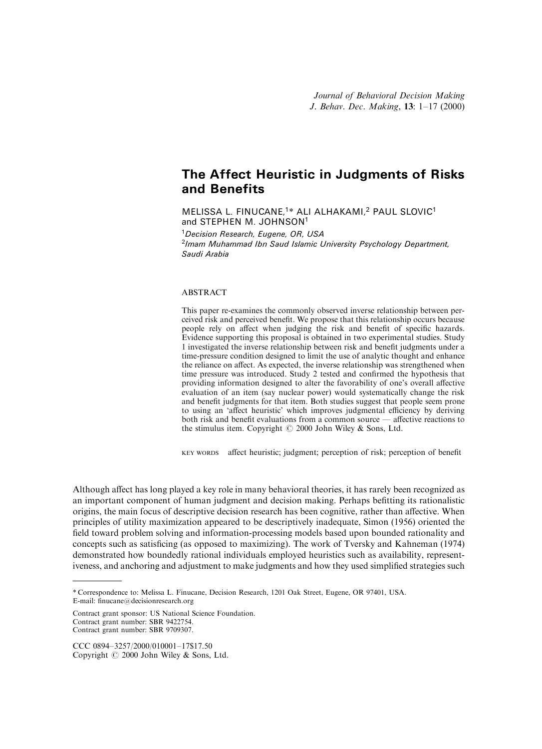# The Affect Heuristic in Judgments of Risks and Benefits

MELISSA L. FINUCANE,<sup>1\*</sup> ALI ALHAKAMI,<sup>2</sup> PAUL SLOVIC<sup>1</sup> and STEPHEN M. JOHNSON<sup>1</sup>

<sup>1</sup>Decision Research, Eugene, OR, USA <sup>2</sup>Imam Muhammad Ibn Saud Islamic University Psychology Department, Saudi Arabia

# ABSTRACT

This paper re-examines the commonly observed inverse relationship between perceived risk and perceived benefit. We propose that this relationship occurs because people rely on affect when judging the risk and benefit of specific hazards. Evidence supporting this proposal is obtained in two experimental studies. Study 1 investigated the inverse relationship between risk and benefit judgments under a time-pressure condition designed to limit the use of analytic thought and enhance the reliance on affect. As expected, the inverse relationship was strengthened when time pressure was introduced. Study 2 tested and confirmed the hypothesis that providing information designed to alter the favorability of one's overall affective evaluation of an item (say nuclear power) would systematically change the risk and benefit judgments for that item. Both studies suggest that people seem prone to using an 'affect heuristic' which improves judgmental efficiency by deriving both risk and benefit evaluations from a common source  $-$  affective reactions to the stimulus item. Copyright  $\odot$  2000 John Wiley & Sons, Ltd.

KEY WORDS affect heuristic; judgment; perception of risk; perception of benefit

Although affect has long played a key role in many behavioral theories, it has rarely been recognized as an important component of human judgment and decision making. Perhaps befitting its rationalistic origins, the main focus of descriptive decision research has been cognitive, rather than affective. When principles of utility maximization appeared to be descriptively inadequate, Simon (1956) oriented the field toward problem solving and information-processing models based upon bounded rationality and concepts such as satisficing (as opposed to maximizing). The work of Tversky and Kahneman (1974) demonstrated how boundedly rational individuals employed heuristics such as availability, representiveness, and anchoring and adjustment to make judgments and how they used simplified strategies such

<sup>\*</sup> Correspondence to: Melissa L. Finucane, Decision Research, 1201 Oak Street, Eugene, OR 97401, USA. E-mail: finucane@decisionresearch.org

Contract grant sponsor: US National Science Foundation. Contract grant number: SBR 9422754. Contract grant number: SBR 9709307.

CCC 0894-3257/2000/010001-17\$17.50 Copyright  $\odot$  2000 John Wiley & Sons, Ltd.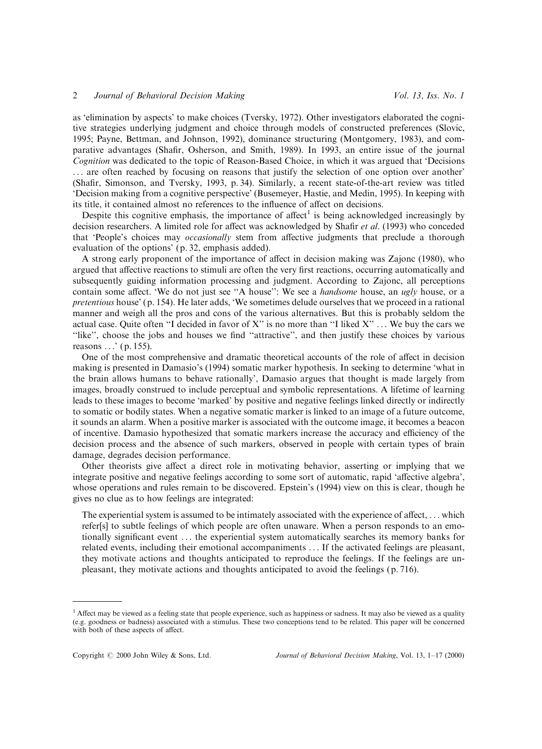## 2 *Journal of Behavioral Decision Making*  $12.2$  *Vol. 13, Iss. No. 1*

as 'elimination by aspects' to make choices (Tversky, 1972). Other investigators elaborated the cognitive strategies underlying judgment and choice through models of constructed preferences (Slovic, 1995; Payne, Bettman, and Johnson, 1992), dominance structuring (Montgomery, 1983), and comparative advantages (Shafir, Osherson, and Smith, 1989). In 1993, an entire issue of the journal Cognition was dedicated to the topic of Reason-Based Choice, in which it was argued that 'Decisions ... are often reached by focusing on reasons that justify the selection of one option over another' (Shafir, Simonson, and Tversky, 1993, p. 34). Similarly, a recent state-of-the-art review was titled `Decision making from a cognitive perspective' (Busemeyer, Hastie, and Medin, 1995). In keeping with its title, it contained almost no references to the influence of affect on decisions.

Despite this cognitive emphasis, the importance of affect<sup>1</sup> is being acknowledged increasingly by decision researchers. A limited role for affect was acknowledged by Shafir *et al.* (1993) who conceded that 'People's choices may *occasionally* stem from affective judgments that preclude a thorough evaluation of the options' (p. 32, emphasis added).

A strong early proponent of the importance of affect in decision making was Zajonc (1980), who argued that affective reactions to stimuli are often the very first reactions, occurring automatically and subsequently guiding information processing and judgment. According to Zajonc, all perceptions contain some affect. 'We do not just see "A house'': We see a *handsome* house, an *ugly* house, or a pretentious house' (p. 154). He later adds, 'We sometimes delude ourselves that we proceed in a rational manner and weigh all the pros and cons of the various alternatives. But this is probably seldom the actual case. Quite often "I decided in favor of X" is no more than "I liked X" ... We buy the cars we ``like'', choose the jobs and houses we ®nd ``attractive'', and then justify these choices by various reasons . . .' (p. 155).

One of the most comprehensive and dramatic theoretical accounts of the role of affect in decision making is presented in Damasio's (1994) somatic marker hypothesis. In seeking to determine `what in the brain allows humans to behave rationally', Damasio argues that thought is made largely from images, broadly construed to include perceptual and symbolic representations. A lifetime of learning leads to these images to become `marked' by positive and negative feelings linked directly or indirectly to somatic or bodily states. When a negative somatic marker is linked to an image of a future outcome, it sounds an alarm. When a positive marker is associated with the outcome image, it becomes a beacon of incentive. Damasio hypothesized that somatic markers increase the accuracy and efficiency of the decision process and the absence of such markers, observed in people with certain types of brain damage, degrades decision performance.

Other theorists give affect a direct role in motivating behavior, asserting or implying that we integrate positive and negative feelings according to some sort of automatic, rapid 'affective algebra', whose operations and rules remain to be discovered. Epstein's (1994) view on this is clear, though he gives no clue as to how feelings are integrated:

The experiential system is assumed to be intimately associated with the experience of affect,  $\dots$  which refer[s] to subtle feelings of which people are often unaware. When a person responds to an emotionally significant event ... the experiential system automatically searches its memory banks for related events, including their emotional accompaniments . . . If the activated feelings are pleasant, they motivate actions and thoughts anticipated to reproduce the feelings. If the feelings are unpleasant, they motivate actions and thoughts anticipated to avoid the feelings (p. 716).

<sup>&</sup>lt;sup>1</sup> Affect may be viewed as a feeling state that people experience, such as happiness or sadness. It may also be viewed as a quality (e.g. goodness or badness) associated with a stimulus. These two conceptions tend to be related. This paper will be concerned with both of these aspects of affect.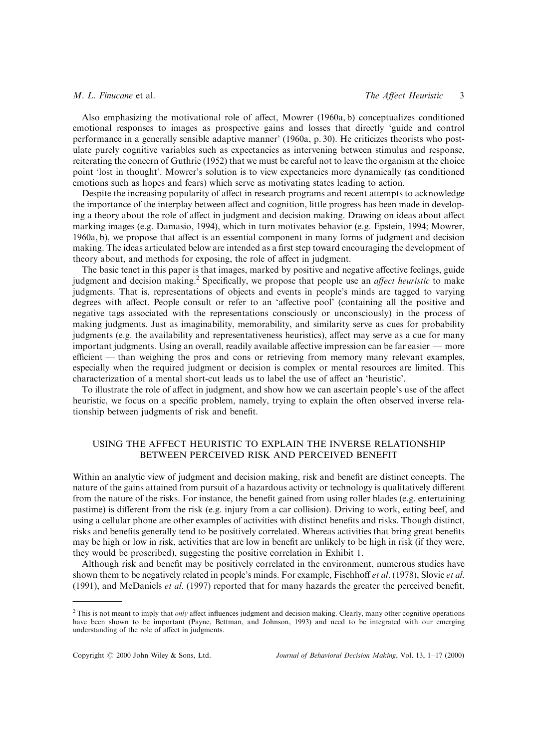Also emphasizing the motivational role of affect, Mowrer  $(1960a, b)$  conceptualizes conditioned emotional responses to images as prospective gains and losses that directly `guide and control performance in a generally sensible adaptive manner' (1960a, p. 30). He criticizes theorists who postulate purely cognitive variables such as expectancies as intervening between stimulus and response, reiterating the concern of Guthrie (1952) that we must be careful not to leave the organism at the choice point 'lost in thought'. Mowrer's solution is to view expectancies more dynamically (as conditioned emotions such as hopes and fears) which serve as motivating states leading to action.

Despite the increasing popularity of affect in research programs and recent attempts to acknowledge the importance of the interplay between affect and cognition, little progress has been made in developing a theory about the role of affect in judgment and decision making. Drawing on ideas about affect marking images (e.g. Damasio, 1994), which in turn motivates behavior (e.g. Epstein, 1994; Mowrer, 1960a, b), we propose that affect is an essential component in many forms of judgment and decision making. The ideas articulated below are intended as a first step toward encouraging the development of theory about, and methods for exposing, the role of affect in judgment.

The basic tenet in this paper is that images, marked by positive and negative affective feelings, guide judgment and decision making.<sup>2</sup> Specifically, we propose that people use an *affect heuristic* to make judgments. That is, representations of objects and events in people's minds are tagged to varying degrees with affect. People consult or refer to an 'affective pool' (containing all the positive and negative tags associated with the representations consciously or unconsciously) in the process of making judgments. Just as imaginability, memorability, and similarity serve as cues for probability judgments (e.g. the availability and representativeness heuristics), affect may serve as a cue for many important judgments. Using an overall, readily available affective impression can be far easier  $-\text{ more}$  $e$ fficient  $-$  than weighing the pros and cons or retrieving from memory many relevant examples, especially when the required judgment or decision is complex or mental resources are limited. This characterization of a mental short-cut leads us to label the use of affect an 'heuristic'.

To illustrate the role of affect in judgment, and show how we can ascertain people's use of the affect heuristic, we focus on a specific problem, namely, trying to explain the often observed inverse relationship between judgments of risk and benefit.

# USING THE AFFECT HEURISTIC TO EXPLAIN THE INVERSE RELATIONSHIP BETWEEN PERCEIVED RISK AND PERCEIVED BENEFIT

Within an analytic view of judgment and decision making, risk and benefit are distinct concepts. The nature of the gains attained from pursuit of a hazardous activity or technology is qualitatively different from the nature of the risks. For instance, the benefit gained from using roller blades (e.g. entertaining pastime) is different from the risk (e.g. injury from a car collision). Driving to work, eating beef, and using a cellular phone are other examples of activities with distinct benefits and risks. Though distinct, risks and benefits generally tend to be positively correlated. Whereas activities that bring great benefits may be high or low in risk, activities that are low in benefit are unlikely to be high in risk (if they were, they would be proscribed), suggesting the positive correlation in Exhibit 1.

Although risk and benefit may be positively correlated in the environment, numerous studies have shown them to be negatively related in people's minds. For example, Fischhoff et al. (1978), Slovic et al. (1991), and McDaniels et al. (1997) reported that for many hazards the greater the perceived benefit,

 $2$  This is not meant to imply that only affect influences judgment and decision making. Clearly, many other cognitive operations have been shown to be important (Payne, Bettman, and Johnson, 1993) and need to be integrated with our emerging understanding of the role of affect in judgments.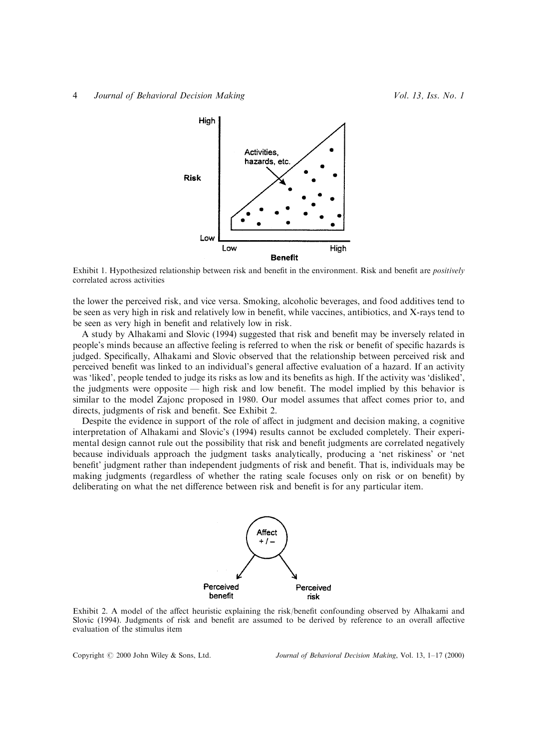#### 4 *Journal of Behavioral Decision Making*  $Vol. 13$ , *Iss. No. 1*



Exhibit 1. Hypothesized relationship between risk and benefit in the environment. Risk and benefit are *positively* correlated across activities

the lower the perceived risk, and vice versa. Smoking, alcoholic beverages, and food additives tend to be seen as very high in risk and relatively low in benefit, while vaccines, antibiotics, and X-rays tend to be seen as very high in benefit and relatively low in risk.

A study by Alhakami and Slovic (1994) suggested that risk and benefit may be inversely related in people's minds because an affective feeling is referred to when the risk or benefit of specific hazards is judged. Specifically, Alhakami and Slovic observed that the relationship between perceived risk and perceived benefit was linked to an individual's general affective evaluation of a hazard. If an activity was 'liked', people tended to judge its risks as low and its benefits as high. If the activity was 'disliked', the judgments were opposite  $-$  high risk and low benefit. The model implied by this behavior is similar to the model Zajonc proposed in 1980. Our model assumes that affect comes prior to, and directs, judgments of risk and benefit. See Exhibit 2.

Despite the evidence in support of the role of affect in judgment and decision making, a cognitive interpretation of Alhakami and Slovic's (1994) results cannot be excluded completely. Their experimental design cannot rule out the possibility that risk and benefit judgments are correlated negatively because individuals approach the judgment tasks analytically, producing a 'net riskiness' or 'net benefit' judgment rather than independent judgments of risk and benefit. That is, individuals may be making judgments (regardless of whether the rating scale focuses only on risk or on benefit) by deliberating on what the net difference between risk and benefit is for any particular item.



Exhibit 2. A model of the affect heuristic explaining the risk/benefit confounding observed by Alhakami and Slovic (1994). Judgments of risk and benefit are assumed to be derived by reference to an overall affective evaluation of the stimulus item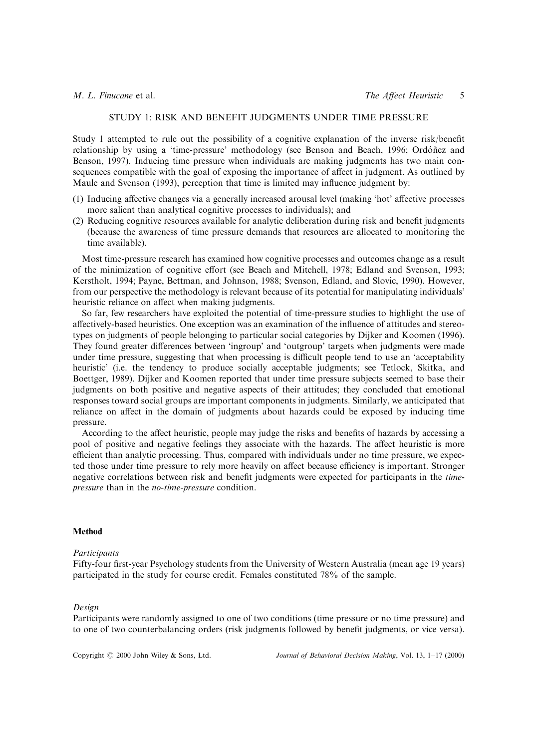# STUDY 1: RISK AND BENEFIT JUDGMENTS UNDER TIME PRESSURE

Study 1 attempted to rule out the possibility of a cognitive explanation of the inverse risk/benefit relationship by using a 'time-pressure' methodology (see Benson and Beach, 1996; Ordóñez and Benson, 1997). Inducing time pressure when individuals are making judgments has two main consequences compatible with the goal of exposing the importance of affect in judgment. As outlined by Maule and Svenson (1993), perception that time is limited may influence judgment by:

- (1) Inducing affective changes via a generally increased arousal level (making 'hot' affective processes more salient than analytical cognitive processes to individuals); and
- (2) Reducing cognitive resources available for analytic deliberation during risk and benefit judgments (because the awareness of time pressure demands that resources are allocated to monitoring the time available).

Most time-pressure research has examined how cognitive processes and outcomes change as a result of the minimization of cognitive effort (see Beach and Mitchell, 1978; Edland and Svenson, 1993; Kerstholt, 1994; Payne, Bettman, and Johnson, 1988; Svenson, Edland, and Slovic, 1990). However, from our perspective the methodology is relevant because of its potential for manipulating individuals' heuristic reliance on affect when making judgments.

So far, few researchers have exploited the potential of time-pressure studies to highlight the use of affectively-based heuristics. One exception was an examination of the influence of attitudes and stereotypes on judgments of people belonging to particular social categories by Dijker and Koomen (1996). They found greater differences between 'ingroup' and 'outgroup' targets when judgments were made under time pressure, suggesting that when processing is difficult people tend to use an 'acceptability heuristic' (i.e. the tendency to produce socially acceptable judgments; see Tetlock, Skitka, and Boettger, 1989). Dijker and Koomen reported that under time pressure subjects seemed to base their judgments on both positive and negative aspects of their attitudes; they concluded that emotional responses toward social groups are important components in judgments. Similarly, we anticipated that reliance on affect in the domain of judgments about hazards could be exposed by inducing time pressure.

According to the affect heuristic, people may judge the risks and benefits of hazards by accessing a pool of positive and negative feelings they associate with the hazards. The affect heuristic is more efficient than analytic processing. Thus, compared with individuals under no time pressure, we expected those under time pressure to rely more heavily on affect because efficiency is important. Stronger negative correlations between risk and benefit judgments were expected for participants in the *time*pressure than in the no-time-pressure condition.

### Method

#### Participants

Fifty-four first-year Psychology students from the University of Western Australia (mean age 19 years) participated in the study for course credit. Females constituted 78% of the sample.

#### Design

Participants were randomly assigned to one of two conditions (time pressure or no time pressure) and to one of two counterbalancing orders (risk judgments followed by benefit judgments, or vice versa).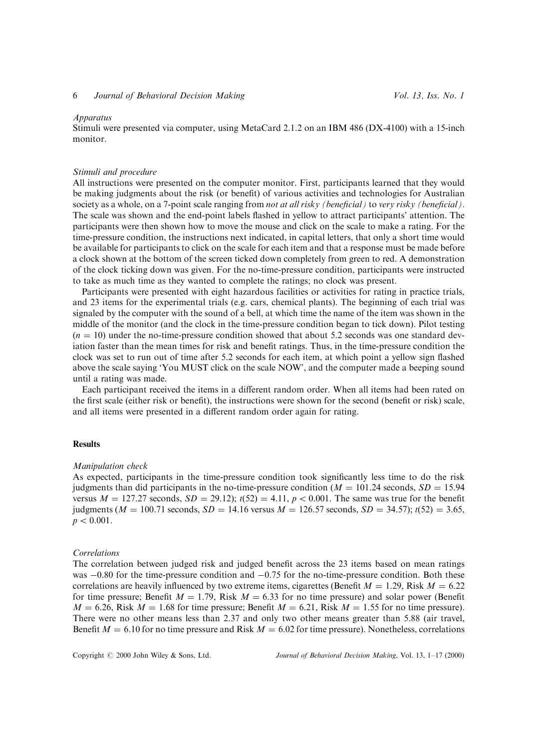# 6 *Journal of Behavioral Decision Making*  $Vol. 13$ , *Iss. No. 1*

### Apparatus

Stimuli were presented via computer, using MetaCard 2.1.2 on an IBM 486 (DX-4100) with a 15-inch monitor.

#### Stimuli and procedure

All instructions were presented on the computer monitor. First, participants learned that they would be making judgments about the risk (or benefit) of various activities and technologies for Australian society as a whole, on a 7-point scale ranging from *not at all risky (beneficial)* to very risky (*beneficial*). The scale was shown and the end-point labels flashed in yellow to attract participants' attention. The participants were then shown how to move the mouse and click on the scale to make a rating. For the time-pressure condition, the instructions next indicated, in capital letters, that only a short time would be available for participants to click on the scale for each item and that a response must be made before a clock shown at the bottom of the screen ticked down completely from green to red. A demonstration of the clock ticking down was given. For the no-time-pressure condition, participants were instructed to take as much time as they wanted to complete the ratings; no clock was present.

Participants were presented with eight hazardous facilities or activities for rating in practice trials, and 23 items for the experimental trials (e.g. cars, chemical plants). The beginning of each trial was signaled by the computer with the sound of a bell, at which time the name of the item was shown in the middle of the monitor (and the clock in the time-pressure condition began to tick down). Pilot testing  $(n = 10)$  under the no-time-pressure condition showed that about 5.2 seconds was one standard deviation faster than the mean times for risk and benefit ratings. Thus, in the time-pressure condition the clock was set to run out of time after 5.2 seconds for each item, at which point a yellow sign flashed above the scale saying 'You MUST click on the scale NOW', and the computer made a beeping sound until a rating was made.

Each participant received the items in a different random order. When all items had been rated on the first scale (either risk or benefit), the instructions were shown for the second (benefit or risk) scale, and all items were presented in a different random order again for rating.

### **Results**

#### Manipulation check

As expected, participants in the time-pressure condition took significantly less time to do the risk judgments than did participants in the no-time-pressure condition ( $M = 101.24$  seconds,  $SD = 15.94$ ) versus  $M = 127.27$  seconds,  $SD = 29.12$ );  $t(52) = 4.11$ ,  $p < 0.001$ . The same was true for the benefit judgments ( $M = 100.71$  seconds,  $SD = 14.16$  versus  $M = 126.57$  seconds,  $SD = 34.57$ );  $t(52) = 3.65$ ,  $p < 0.001$ .

#### Correlations

The correlation between judged risk and judged benefit across the 23 items based on mean ratings was  $-0.80$  for the time-pressure condition and  $-0.75$  for the no-time-pressure condition. Both these correlations are heavily influenced by two extreme items, cigarettes (Benefit  $M = 1.29$ , Risk  $M = 6.22$ for time pressure; Benefit  $M = 1.79$ , Risk  $M = 6.33$  for no time pressure) and solar power (Benefit  $M = 6.26$ , Risk  $M = 1.68$  for time pressure; Benefit  $M = 6.21$ , Risk  $M = 1.55$  for no time pressure). There were no other means less than 2.37 and only two other means greater than 5.88 (air travel, Benefit  $M = 6.10$  for no time pressure and Risk  $M = 6.02$  for time pressure). Nonetheless, correlations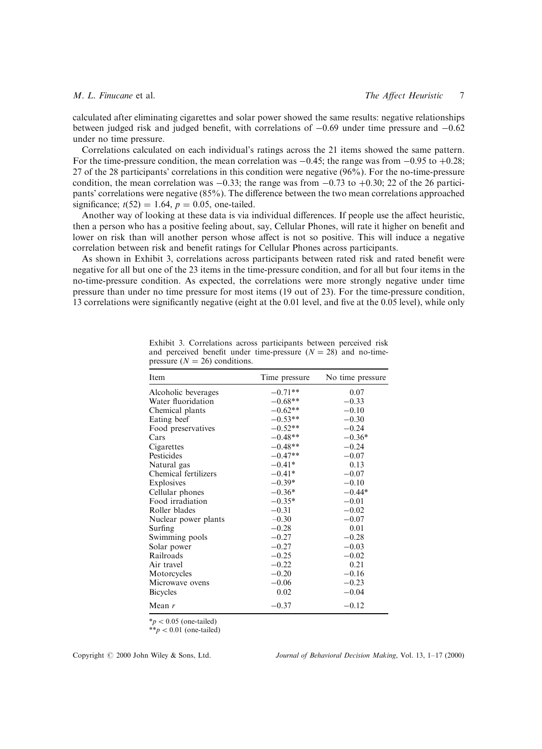calculated after eliminating cigarettes and solar power showed the same results: negative relationships between judged risk and judged benefit, with correlations of  $-0.69$  under time pressure and  $-0.62$ under no time pressure.

Correlations calculated on each individual's ratings across the 21 items showed the same pattern. For the time-pressure condition, the mean correlation was  $-0.45$ ; the range was from  $-0.95$  to  $+0.28$ ; 27 of the 28 participants' correlations in this condition were negative (96%). For the no-time-pressure condition, the mean correlation was  $-0.33$ ; the range was from  $-0.73$  to  $+0.30$ ; 22 of the 26 participants' correlations were negative (85%). The difference between the two mean correlations approached significance;  $t(52) = 1.64$ ,  $p = 0.05$ , one-tailed.

Another way of looking at these data is via individual differences. If people use the affect heuristic, then a person who has a positive feeling about, say, Cellular Phones, will rate it higher on benefit and lower on risk than will another person whose affect is not so positive. This will induce a negative correlation between risk and benefit ratings for Cellular Phones across participants.

As shown in Exhibit 3, correlations across participants between rated risk and rated benefit were negative for all but one of the 23 items in the time-pressure condition, and for all but four items in the no-time-pressure condition. As expected, the correlations were more strongly negative under time pressure than under no time pressure for most items (19 out of 23). For the time-pressure condition, 13 correlations were significantly negative (eight at the 0.01 level, and five at the 0.05 level), while only

| Item                 | Time pressure | No time pressure |
|----------------------|---------------|------------------|
| Alcoholic beverages  | $-0.71**$     | 0.07             |
| Water fluoridation   | $-0.68**$     | $-0.33$          |
| Chemical plants      | $-0.62**$     | $-0.10$          |
| Eating beef          | $-0.53**$     | $-0.30$          |
| Food preservatives   | $-0.52**$     | $-0.24$          |
| Cars                 | $-0.48**$     | $-0.36*$         |
| Cigarettes           | $-0.48**$     | $-0.24$          |
| Pesticides           | $-0.47**$     | $-0.07$          |
| Natural gas          | $-0.41*$      | 0.13             |
| Chemical fertilizers | $-0.41*$      | $-0.07$          |
| Explosives           | $-0.39*$      | $-0.10$          |
| Cellular phones      | $-0.36*$      | $-0.44*$         |
| Food irradiation     | $-0.35*$      | $-0.01$          |
| Roller blades        | $-0.31$       | $-0.02$          |
| Nuclear power plants | $-0.30$       | $-0.07$          |
| Surfing              | $-0.28$       | 0.01             |
| Swimming pools       | $-0.27$       | $-0.28$          |
| Solar power          | $-0.27$       | $-0.03$          |
| Railroads            | $-0.25$       | $-0.02$          |
| Air travel           | $-0.22$       | 0.21             |
| Motorcycles          | $-0.20$       | $-0.16$          |
| Microwave ovens      | $-0.06$       | $-0.23$          |
| <b>Bicycles</b>      | 0.02          | $-0.04$          |
| Mean $r$             | $-0.37$       | $-0.12$          |

Exhibit 3. Correlations across participants between perceived risk and perceived benefit under time-pressure  $(N = 28)$  and no-timepressure ( $N = 26$ ) conditions.

 $*<sub>p</sub> < 0.05$  (one-tailed)

 $**p < 0.01$  (one-tailed)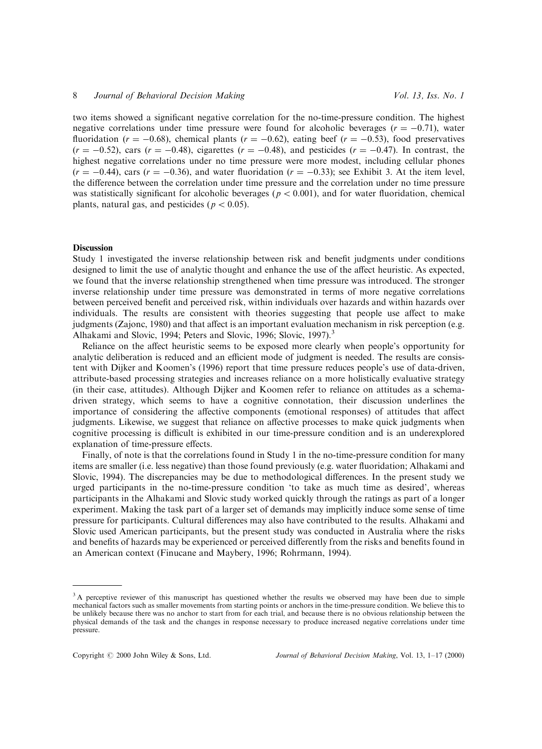# 8 *Journal of Behavioral Decision Making*  $Vol. 13$ , *Iss. No. 1*

two items showed a significant negative correlation for the no-time-pressure condition. The highest negative correlations under time pressure were found for alcoholic beverages  $(r = -0.71)$ , water fluoridation ( $r = -0.68$ ), chemical plants ( $r = -0.62$ ), eating beef ( $r = -0.53$ ), food preservatives  $(r = -0.52)$ , cars  $(r = -0.48)$ , cigarettes  $(r = -0.48)$ , and pesticides  $(r = -0.47)$ . In contrast, the highest negative correlations under no time pressure were more modest, including cellular phones  $(r = -0.44)$ , cars  $(r = -0.36)$ , and water fluoridation  $(r = -0.33)$ ; see Exhibit 3. At the item level, the difference between the correlation under time pressure and the correlation under no time pressure was statistically significant for alcoholic beverages ( $p < 0.001$ ), and for water fluoridation, chemical plants, natural gas, and pesticides ( $p<0.05$ ).

### **Discussion**

Study 1 investigated the inverse relationship between risk and benefit judgments under conditions designed to limit the use of analytic thought and enhance the use of the affect heuristic. As expected, we found that the inverse relationship strengthened when time pressure was introduced. The stronger inverse relationship under time pressure was demonstrated in terms of more negative correlations between perceived benefit and perceived risk, within individuals over hazards and within hazards over individuals. The results are consistent with theories suggesting that people use affect to make judgments (Zajonc, 1980) and that affect is an important evaluation mechanism in risk perception (e.g. Alhakami and Slovic, 1994; Peters and Slovic, 1996; Slovic, 1997).<sup>3</sup>

Reliance on the affect heuristic seems to be exposed more clearly when people's opportunity for analytic deliberation is reduced and an efficient mode of judgment is needed. The results are consistent with Dijker and Koomen's (1996) report that time pressure reduces people's use of data-driven, attribute-based processing strategies and increases reliance on a more holistically evaluative strategy (in their case, attitudes). Although Dijker and Koomen refer to reliance on attitudes as a schemadriven strategy, which seems to have a cognitive connotation, their discussion underlines the importance of considering the affective components (emotional responses) of attitudes that affect judgments. Likewise, we suggest that reliance on affective processes to make quick judgments when cognitive processing is difficult is exhibited in our time-pressure condition and is an underexplored explanation of time-pressure effects.

Finally, of note is that the correlations found in Study 1 in the no-time-pressure condition for many items are smaller (i.e. less negative) than those found previously (e.g. water fluoridation; Alhakami and Slovic, 1994). The discrepancies may be due to methodological differences. In the present study we urged participants in the no-time-pressure condition `to take as much time as desired', whereas participants in the Alhakami and Slovic study worked quickly through the ratings as part of a longer experiment. Making the task part of a larger set of demands may implicitly induce some sense of time pressure for participants. Cultural differences may also have contributed to the results. Alhakami and Slovic used American participants, but the present study was conducted in Australia where the risks and benefits of hazards may be experienced or perceived differently from the risks and benefits found in an American context (Finucane and Maybery, 1996; Rohrmann, 1994).

<sup>&</sup>lt;sup>3</sup>A perceptive reviewer of this manuscript has questioned whether the results we observed may have been due to simple mechanical factors such as smaller movements from starting points or anchors in the time-pressure condition. We believe this to be unlikely because there was no anchor to start from for each trial, and because there is no obvious relationship between the physical demands of the task and the changes in response necessary to produce increased negative correlations under time pressure.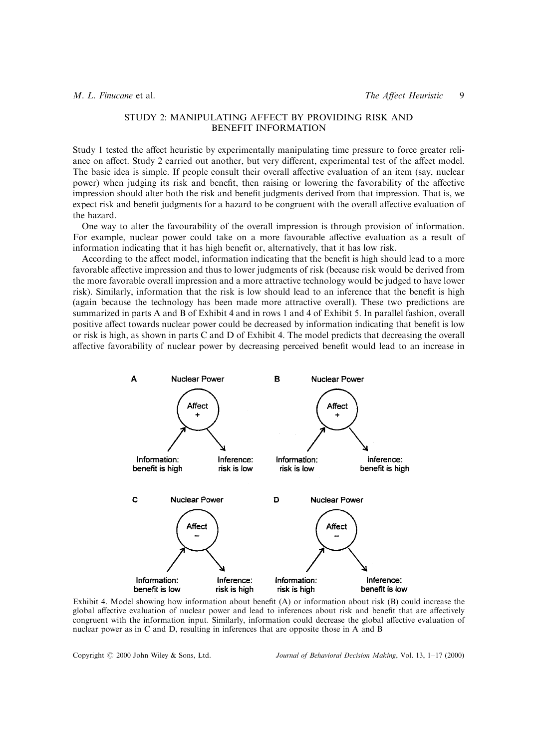# STUDY 2: MANIPULATING AFFECT BY PROVIDING RISK AND BENEFIT INFORMATION

Study 1 tested the affect heuristic by experimentally manipulating time pressure to force greater reliance on affect. Study 2 carried out another, but very different, experimental test of the affect model. The basic idea is simple. If people consult their overall affective evaluation of an item (say, nuclear power) when judging its risk and benefit, then raising or lowering the favorability of the affective impression should alter both the risk and benefit judgments derived from that impression. That is, we expect risk and benefit judgments for a hazard to be congruent with the overall affective evaluation of the hazard.

One way to alter the favourability of the overall impression is through provision of information. For example, nuclear power could take on a more favourable affective evaluation as a result of information indicating that it has high benefit or, alternatively, that it has low risk.

According to the affect model, information indicating that the benefit is high should lead to a more favorable affective impression and thus to lower judgments of risk (because risk would be derived from the more favorable overall impression and a more attractive technology would be judged to have lower risk). Similarly, information that the risk is low should lead to an inference that the benefit is high (again because the technology has been made more attractive overall). These two predictions are summarized in parts A and B of Exhibit 4 and in rows 1 and 4 of Exhibit 5. In parallel fashion, overall positive affect towards nuclear power could be decreased by information indicating that benefit is low or risk is high, as shown in parts C and D of Exhibit 4. The model predicts that decreasing the overall affective favorability of nuclear power by decreasing perceived benefit would lead to an increase in



Exhibit 4. Model showing how information about benefit (A) or information about risk  $(B)$  could increase the global affective evaluation of nuclear power and lead to inferences about risk and benefit that are affectively congruent with the information input. Similarly, information could decrease the global affective evaluation of nuclear power as in C and D, resulting in inferences that are opposite those in A and B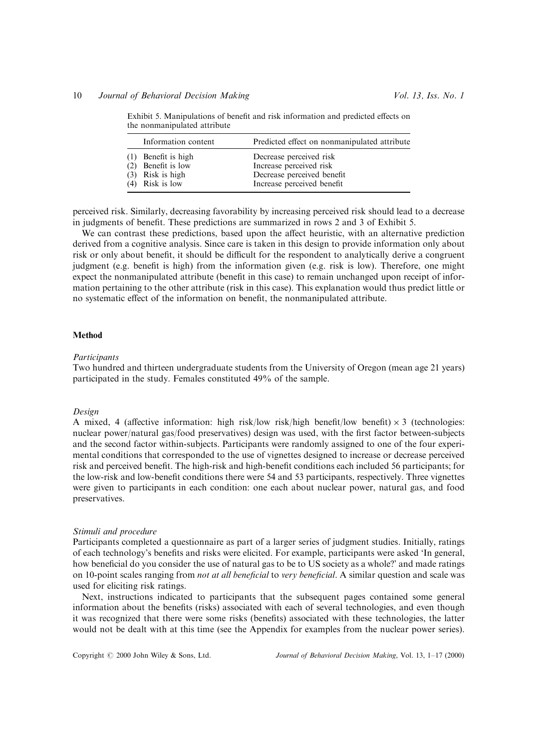| Information content   | Predicted effect on nonmanipulated attribute |
|-----------------------|----------------------------------------------|
| $(1)$ Benefit is high | Decrease perceived risk                      |
| $(2)$ Benefit is low  | Increase perceived risk                      |
| $(3)$ Risk is high    | Decrease perceived benefit                   |
| $(4)$ Risk is low     | Increase perceived benefit                   |

Exhibit 5. Manipulations of benefit and risk information and predicted effects on the nonmanipulated attribute

perceived risk. Similarly, decreasing favorability by increasing perceived risk should lead to a decrease in judgments of benefit. These predictions are summarized in rows 2 and 3 of Exhibit 5.

We can contrast these predictions, based upon the affect heuristic, with an alternative prediction derived from a cognitive analysis. Since care is taken in this design to provide information only about risk or only about benefit, it should be difficult for the respondent to analytically derive a congruent judgment (e.g. benefit is high) from the information given (e.g. risk is low). Therefore, one might expect the nonmanipulated attribute (benefit in this case) to remain unchanged upon receipt of information pertaining to the other attribute (risk in this case). This explanation would thus predict little or no systematic effect of the information on benefit, the nonmanipulated attribute.

# Method

### **Participants**

Two hundred and thirteen undergraduate students from the University of Oregon (mean age 21 years) participated in the study. Females constituted 49% of the sample.

#### Design

A mixed, 4 (affective information: high risk/low risk/high benefit/low benefit)  $\times$  3 (technologies: nuclear power/natural gas/food preservatives) design was used, with the first factor between-subjects and the second factor within-subjects. Participants were randomly assigned to one of the four experimental conditions that corresponded to the use of vignettes designed to increase or decrease perceived risk and perceived benefit. The high-risk and high-benefit conditions each included 56 participants; for the low-risk and low-benefit conditions there were 54 and 53 participants, respectively. Three vignettes were given to participants in each condition: one each about nuclear power, natural gas, and food preservatives.

# Stimuli and procedure

Participants completed a questionnaire as part of a larger series of judgment studies. Initially, ratings of each technology's benefits and risks were elicited. For example, participants were asked 'In general, how beneficial do you consider the use of natural gas to be to US society as a whole?' and made ratings on 10-point scales ranging from *not at all beneficial* to very beneficial. A similar question and scale was used for eliciting risk ratings.

Next, instructions indicated to participants that the subsequent pages contained some general information about the benefits (risks) associated with each of several technologies, and even though it was recognized that there were some risks (benefits) associated with these technologies, the latter would not be dealt with at this time (see the Appendix for examples from the nuclear power series).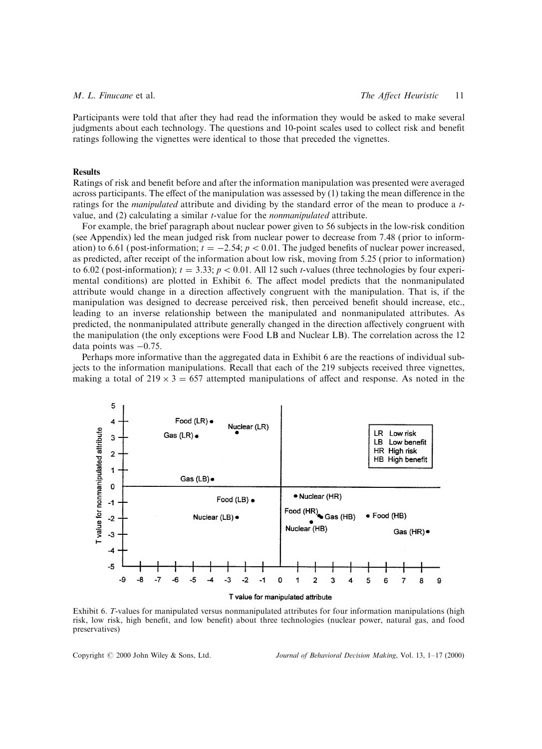Participants were told that after they had read the information they would be asked to make several judgments about each technology. The questions and 10-point scales used to collect risk and benefit ratings following the vignettes were identical to those that preceded the vignettes.

# Results

Ratings of risk and benefit before and after the information manipulation was presented were averaged across participants. The effect of the manipulation was assessed by  $(1)$  taking the mean difference in the ratings for the *manipulated* attribute and dividing by the standard error of the mean to produce a tvalue, and (2) calculating a similar t-value for the nonmanipulated attribute.

For example, the brief paragraph about nuclear power given to 56 subjects in the low-risk condition (see Appendix) led the mean judged risk from nuclear power to decrease from 7.48 (prior to information) to 6.61 (post-information;  $t = -2.54$ ;  $p < 0.01$ . The judged benefits of nuclear power increased, as predicted, after receipt of the information about low risk, moving from 5.25 (prior to information) to 6.02 (post-information);  $t = 3.33$ ;  $p < 0.01$ . All 12 such t-values (three technologies by four experimental conditions) are plotted in Exhibit 6. The affect model predicts that the nonmanipulated attribute would change in a direction affectively congruent with the manipulation. That is, if the manipulation was designed to decrease perceived risk, then perceived benefit should increase, etc., leading to an inverse relationship between the manipulated and nonmanipulated attributes. As predicted, the nonmanipulated attribute generally changed in the direction affectively congruent with the manipulation (the only exceptions were Food LB and Nuclear LB). The correlation across the 12 data points was  $-0.75$ .

Perhaps more informative than the aggregated data in Exhibit 6 are the reactions of individual subjects to the information manipulations. Recall that each of the 219 subjects received three vignettes, making a total of  $219 \times 3 = 657$  attempted manipulations of affect and response. As noted in the



Exhibit 6. T-values for manipulated versus nonmanipulated attributes for four information manipulations (high risk, low risk, high benefit, and low benefit) about three technologies (nuclear power, natural gas, and food preservatives)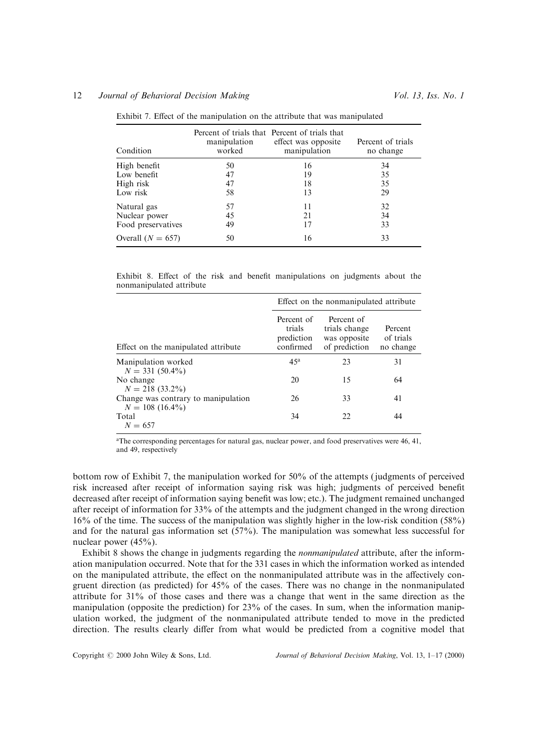# 12 Journal of Behavioral Decision Making Theorem 12 Vol. 13, Iss. No. 1

| Condition           | manipulation<br>worked | Percent of trials that Percent of trials that<br>effect was opposite<br>manipulation | Percent of trials<br>no change |
|---------------------|------------------------|--------------------------------------------------------------------------------------|--------------------------------|
| High benefit        | 50                     | 16                                                                                   | 34                             |
| Low benefit         | 47                     | 19                                                                                   | 35                             |
| High risk           | 47                     | 18                                                                                   | 35                             |
| Low risk            | 58                     | 13                                                                                   | 29                             |
| Natural gas         | 57                     | 11                                                                                   | 32                             |
| Nuclear power       | 45                     | 21                                                                                   | 34                             |
| Food preservatives  | 49                     | 17                                                                                   | 33                             |
| Overall $(N = 657)$ | 50                     | 16                                                                                   | 33                             |

Exhibit 7. Effect of the manipulation on the attribute that was manipulated

Exhibit 8. Effect of the risk and benefit manipulations on judgments about the nonmanipulated attribute

|                                                          | Effect on the nonmanipulated attribute          |                                                              |                                   |  |
|----------------------------------------------------------|-------------------------------------------------|--------------------------------------------------------------|-----------------------------------|--|
| Effect on the manipulated attribute                      | Percent of<br>trials<br>prediction<br>confirmed | Percent of<br>trials change<br>was opposite<br>of prediction | Percent<br>of trials<br>no change |  |
| Manipulation worked<br>$N = 331 (50.4\%)$                | 45 <sup>a</sup>                                 | 23                                                           | 31                                |  |
| No change<br>$N = 218(33.2\%)$                           | 20                                              | 15                                                           | 64                                |  |
| Change was contrary to manipulation<br>$N = 108(16.4\%)$ | 26                                              | 33                                                           | 41                                |  |
| Total<br>$N = 657$                                       | 34                                              | 22                                                           | 44                                |  |

aThe corresponding percentages for natural gas, nuclear power, and food preservatives were 46, 41, and 49, respectively

bottom row of Exhibit 7, the manipulation worked for 50% of the attempts (judgments of perceived risk increased after receipt of information saying risk was high; judgments of perceived benefit decreased after receipt of information saying benefit was low; etc.). The judgment remained unchanged after receipt of information for 33% of the attempts and the judgment changed in the wrong direction 16% of the time. The success of the manipulation was slightly higher in the low-risk condition (58%) and for the natural gas information set (57%). The manipulation was somewhat less successful for nuclear power (45%).

Exhibit 8 shows the change in judgments regarding the nonmanipulated attribute, after the information manipulation occurred. Note that for the 331 cases in which the information worked as intended on the manipulated attribute, the effect on the nonmanipulated attribute was in the affectively congruent direction (as predicted) for 45% of the cases. There was no change in the nonmanipulated attribute for 31% of those cases and there was a change that went in the same direction as the manipulation (opposite the prediction) for 23% of the cases. In sum, when the information manipulation worked, the judgment of the nonmanipulated attribute tended to move in the predicted direction. The results clearly differ from what would be predicted from a cognitive model that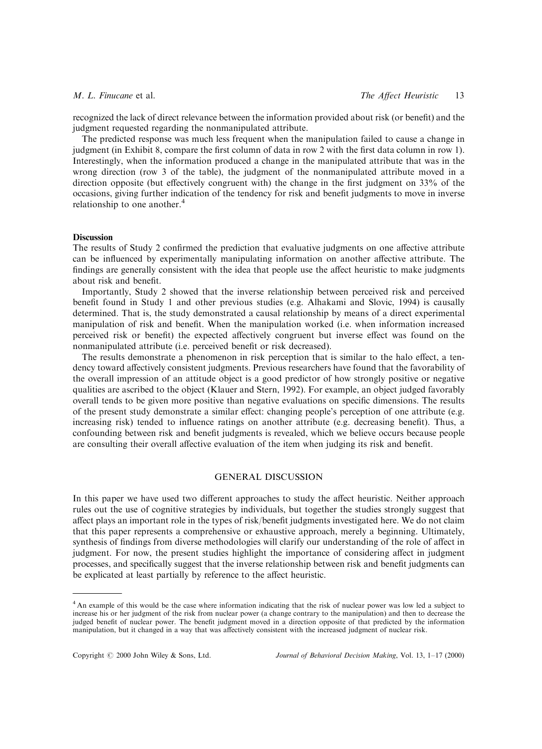recognized the lack of direct relevance between the information provided about risk (or benefit) and the judgment requested regarding the nonmanipulated attribute.

The predicted response was much less frequent when the manipulation failed to cause a change in judgment (in Exhibit 8, compare the first column of data in row 2 with the first data column in row 1). Interestingly, when the information produced a change in the manipulated attribute that was in the wrong direction (row 3 of the table), the judgment of the nonmanipulated attribute moved in a direction opposite (but effectively congruent with) the change in the first judgment on 33% of the occasions, giving further indication of the tendency for risk and benefit judgments to move in inverse relationship to one another.<sup>4</sup>

# **Discussion**

The results of Study 2 confirmed the prediction that evaluative judgments on one affective attribute can be influenced by experimentally manipulating information on another affective attribute. The findings are generally consistent with the idea that people use the affect heuristic to make judgments about risk and benefit.

Importantly, Study 2 showed that the inverse relationship between perceived risk and perceived benefit found in Study 1 and other previous studies (e.g. Alhakami and Slovic, 1994) is causally determined. That is, the study demonstrated a causal relationship by means of a direct experimental manipulation of risk and benefit. When the manipulation worked (i.e. when information increased perceived risk or benefit) the expected affectively congruent but inverse effect was found on the nonmanipulated attribute (i.e. perceived benefit or risk decreased).

The results demonstrate a phenomenon in risk perception that is similar to the halo effect, a tendency toward affectively consistent judgments. Previous researchers have found that the favorability of the overall impression of an attitude object is a good predictor of how strongly positive or negative qualities are ascribed to the object (Klauer and Stern, 1992). For example, an object judged favorably overall tends to be given more positive than negative evaluations on specific dimensions. The results of the present study demonstrate a similar effect: changing people's perception of one attribute (e.g. increasing risk) tended to influence ratings on another attribute (e.g. decreasing benefit). Thus, a confounding between risk and benefit judgments is revealed, which we believe occurs because people are consulting their overall affective evaluation of the item when judging its risk and benefit.

### GENERAL DISCUSSION

In this paper we have used two different approaches to study the affect heuristic. Neither approach rules out the use of cognitive strategies by individuals, but together the studies strongly suggest that affect plays an important role in the types of risk/benefit judgments investigated here. We do not claim that this paper represents a comprehensive or exhaustive approach, merely a beginning. Ultimately, synthesis of findings from diverse methodologies will clarify our understanding of the role of affect in judgment. For now, the present studies highlight the importance of considering affect in judgment processes, and specifically suggest that the inverse relationship between risk and benefit judgments can be explicated at least partially by reference to the affect heuristic.

<sup>4</sup> An example of this would be the case where information indicating that the risk of nuclear power was low led a subject to increase his or her judgment of the risk from nuclear power (a change contrary to the manipulation) and then to decrease the judged benefit of nuclear power. The benefit judgment moved in a direction opposite of that predicted by the information manipulation, but it changed in a way that was affectively consistent with the increased judgment of nuclear risk.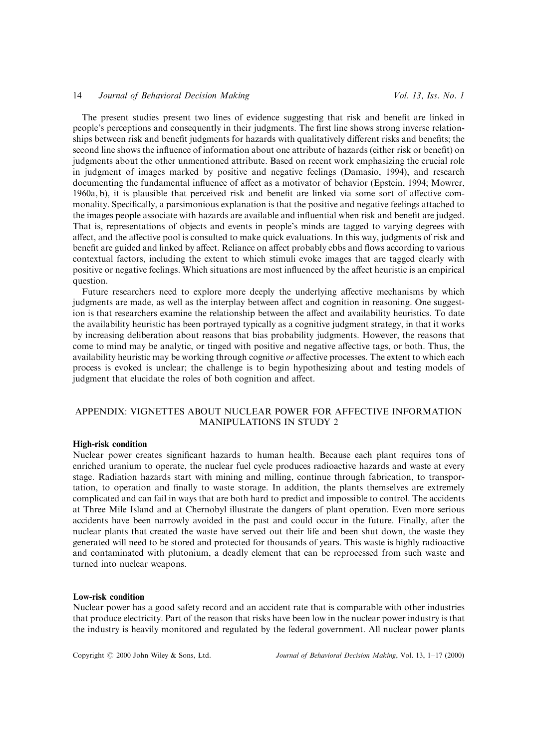# 14 Journal of Behavioral Decision Making Theorem 12, 13, Iss. No. 1

The present studies present two lines of evidence suggesting that risk and benefit are linked in people's perceptions and consequently in their judgments. The first line shows strong inverse relationships between risk and benefit judgments for hazards with qualitatively different risks and benefits; the second line shows the influence of information about one attribute of hazards (either risk or benefit) on judgments about the other unmentioned attribute. Based on recent work emphasizing the crucial role in judgment of images marked by positive and negative feelings (Damasio, 1994), and research documenting the fundamental influence of affect as a motivator of behavior (Epstein, 1994; Mowrer, 1960a, b), it is plausible that perceived risk and benefit are linked via some sort of affective commonality. Specifically, a parsimonious explanation is that the positive and negative feelings attached to the images people associate with hazards are available and influential when risk and benefit are judged. That is, representations of objects and events in people's minds are tagged to varying degrees with affect, and the affective pool is consulted to make quick evaluations. In this way, judgments of risk and benefit are guided and linked by affect. Reliance on affect probably ebbs and flows according to various contextual factors, including the extent to which stimuli evoke images that are tagged clearly with positive or negative feelings. Which situations are most influenced by the affect heuristic is an empirical question.

Future researchers need to explore more deeply the underlying affective mechanisms by which judgments are made, as well as the interplay between affect and cognition in reasoning. One suggestion is that researchers examine the relationship between the affect and availability heuristics. To date the availability heuristic has been portrayed typically as a cognitive judgment strategy, in that it works by increasing deliberation about reasons that bias probability judgments. However, the reasons that come to mind may be analytic, or tinged with positive and negative affective tags, or both. Thus, the availability heuristic may be working through cognitive  $or$  affective processes. The extent to which each process is evoked is unclear; the challenge is to begin hypothesizing about and testing models of judgment that elucidate the roles of both cognition and affect.

# APPENDIX: VIGNETTES ABOUT NUCLEAR POWER FOR AFFECTIVE INFORMATION MANIPULATIONS IN STUDY 2

# High-risk condition

Nuclear power creates significant hazards to human health. Because each plant requires tons of enriched uranium to operate, the nuclear fuel cycle produces radioactive hazards and waste at every stage. Radiation hazards start with mining and milling, continue through fabrication, to transportation, to operation and finally to waste storage. In addition, the plants themselves are extremely complicated and can fail in ways that are both hard to predict and impossible to control. The accidents at Three Mile Island and at Chernobyl illustrate the dangers of plant operation. Even more serious accidents have been narrowly avoided in the past and could occur in the future. Finally, after the nuclear plants that created the waste have served out their life and been shut down, the waste they generated will need to be stored and protected for thousands of years. This waste is highly radioactive and contaminated with plutonium, a deadly element that can be reprocessed from such waste and turned into nuclear weapons.

# Low-risk condition

Nuclear power has a good safety record and an accident rate that is comparable with other industries that produce electricity. Part of the reason that risks have been low in the nuclear power industry is that the industry is heavily monitored and regulated by the federal government. All nuclear power plants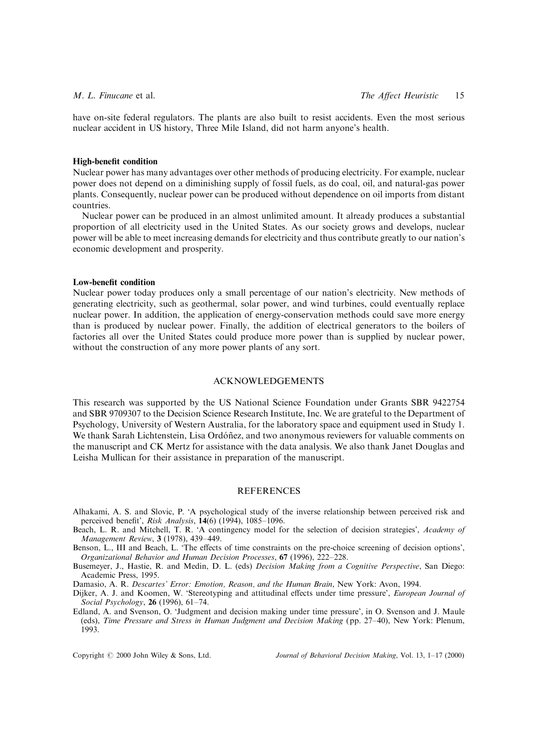have on-site federal regulators. The plants are also built to resist accidents. Even the most serious nuclear accident in US history, Three Mile Island, did not harm anyone's health.

### High-benefit condition

Nuclear power has many advantages over other methods of producing electricity. For example, nuclear power does not depend on a diminishing supply of fossil fuels, as do coal, oil, and natural-gas power plants. Consequently, nuclear power can be produced without dependence on oil imports from distant countries.

Nuclear power can be produced in an almost unlimited amount. It already produces a substantial proportion of all electricity used in the United States. As our society grows and develops, nuclear power will be able to meet increasing demands for electricity and thus contribute greatly to our nation's economic development and prosperity.

#### Low-benefit condition

Nuclear power today produces only a small percentage of our nation's electricity. New methods of generating electricity, such as geothermal, solar power, and wind turbines, could eventually replace nuclear power. In addition, the application of energy-conservation methods could save more energy than is produced by nuclear power. Finally, the addition of electrical generators to the boilers of factories all over the United States could produce more power than is supplied by nuclear power, without the construction of any more power plants of any sort.

# ACKNOWLEDGEMENTS

This research was supported by the US National Science Foundation under Grants SBR 9422754 and SBR 9709307 to the Decision Science Research Institute, Inc. We are grateful to the Department of Psychology, University of Western Australia, for the laboratory space and equipment used in Study 1. We thank Sarah Lichtenstein, Lisa Ordoñez, and two anonymous reviewers for valuable comments on the manuscript and CK Mertz for assistance with the data analysis. We also thank Janet Douglas and Leisha Mullican for their assistance in preparation of the manuscript.

# REFERENCES

- Alhakami, A. S. and Slovic, P. `A psychological study of the inverse relationship between perceived risk and perceived benefit', Risk Analysis, 14(6) (1994), 1085-1096.
- Beach, L. R. and Mitchell, T. R. 'A contingency model for the selection of decision strategies', Academy of Management Review, 3 (1978), 439-449.

Benson, L., III and Beach, L. The effects of time constraints on the pre-choice screening of decision options', Organizational Behavior and Human Decision Processes, 67 (1996), 222-228.

Busemeyer, J., Hastie, R. and Medin, D. L. (eds) Decision Making from a Cognitive Perspective, San Diego: Academic Press, 1995.

Damasio, A. R. Descartes' Error: Emotion, Reason, and the Human Brain, New York: Avon, 1994.

Dijker, A. J. and Koomen, W. 'Stereotyping and attitudinal effects under time pressure', European Journal of Social Psychology, 26 (1996), 61-74.

Edland, A. and Svenson, O. `Judgment and decision making under time pressure', in O. Svenson and J. Maule (eds), Time Pressure and Stress in Human Judgment and Decision Making (pp. 27–40), New York: Plenum, 1993.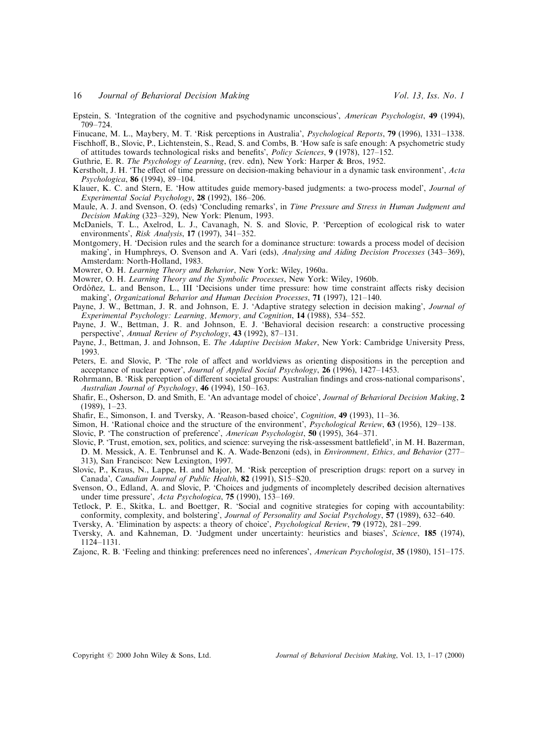Epstein, S. `Integration of the cognitive and psychodynamic unconscious', American Psychologist, 49 (1994), 709±724.

Finucane, M. L., Maybery, M. T. 'Risk perceptions in Australia', Psychological Reports, 79 (1996), 1331-1338. Fischhoff, B., Slovic, P., Lichtenstein, S., Read, S. and Combs, B. 'How safe is safe enough: A psychometric study

of attitudes towards technological risks and benefits', *Policy Sciences*, 9 (1978), 127 $-152$ .

Guthrie, E. R. The Psychology of Learning, (rev. edn), New York: Harper & Bros, 1952.

- Kerstholt, J. H. 'The effect of time pressure on decision-making behaviour in a dynamic task environment', Acta Psychologica, 86 (1994), 89-104.
- Klauer, K. C. and Stern, E. 'How attitudes guide memory-based judgments: a two-process model', Journal of Experimental Social Psychology,  $28$  (1992), 186-206.
- Maule, A. J. and Svenson, O. (eds) 'Concluding remarks', in Time Pressure and Stress in Human Judgment and Decision Making (323-329), New York: Plenum, 1993.
- McDaniels, T. L., Axelrod, L. J., Cavanagh, N. S. and Slovic, P. `Perception of ecological risk to water environments', Risk Analysis, 17 (1997), 341–352.
- Montgomery, H. `Decision rules and the search for a dominance structure: towards a process model of decision making', in Humphreys, O. Svenson and A. Vari (eds), Analysing and Aiding Decision Processes (343-369), Amsterdam: North-Holland, 1983.

Mowrer, O. H. Learning Theory and Behavior, New York: Wiley, 1960a.

- Mowrer, O. H. Learning Theory and the Symbolic Processes, New York: Wiley, 1960b.
- Ordóñez, L. and Benson, L., III 'Decisions under time pressure: how time constraint affects risky decision making', Organizational Behavior and Human Decision Processes, 71 (1997), 121-140.
- Payne, J. W., Bettman, J. R. and Johnson, E. J. 'Adaptive strategy selection in decision making', Journal of Experimental Psychology: Learning, Memory, and Cognition, 14 (1988), 534-552.
- Payne, J. W., Bettman, J. R. and Johnson, E. J. `Behavioral decision research: a constructive processing perspective', Annual Review of Psychology, 43 (1992), 87-131.
- Payne, J., Bettman, J. and Johnson, E. The Adaptive Decision Maker, New York: Cambridge University Press, 1993.
- Peters, E. and Slovic, P. 'The role of affect and worldviews as orienting dispositions in the perception and acceptance of nuclear power', Journal of Applied Social Psychology, 26 (1996), 1427-1453.
- Rohrmann, B. 'Risk perception of different societal groups: Australian findings and cross-national comparisons', Australian Journal of Psychology,  $46$  (1994), 150-163.
- Shafir, E., Osherson, D. and Smith, E. 'An advantage model of choice', Journal of Behavioral Decision Making, 2  $(1989), 1-23.$
- Shafir, E., Simonson, I. and Tversky, A. 'Reason-based choice', Cognition, 49 (1993), 11-36.
- Simon, H. 'Rational choice and the structure of the environment', Psychological Review, 63 (1956), 129-138.
- Slovic, P. 'The construction of preference', American Psychologist, 50 (1995), 364-371.
- Slovic, P. 'Trust, emotion, sex, politics, and science: surveying the risk-assessment battlefield', in M. H. Bazerman, D. M. Messick, A. E. Tenbrunsel and K. A. Wade-Benzoni (eds), in *Environment, Ethics, and Behavior* (277– 313), San Francisco: New Lexington, 1997.
- Slovic, P., Kraus, N., Lappe, H. and Major, M. `Risk perception of prescription drugs: report on a survey in Canada', Canadian Journal of Public Health, 82 (1991), S15-S20.
- Svenson, O., Edland, A. and Slovic, P. 'Choices and judgments of incompletely described decision alternatives under time pressure', Acta Psychologica, 75 (1990), 153-169.
- Tetlock, P. E., Skitka, L. and Boettger, R. `Social and cognitive strategies for coping with accountability: conformity, complexity, and bolstering', Journal of Personality and Social Psychology, 57 (1989), 632-640.
- Tversky, A. 'Elimination by aspects: a theory of choice', *Psychological Review*, 79 (1972), 281-299.
- Tversky, A. and Kahneman, D. `Judgment under uncertainty: heuristics and biases', Science, 185 (1974), 1124±1131.
- Zajonc, R. B. 'Feeling and thinking: preferences need no inferences', *American Psychologist*, 35 (1980), 151–175.